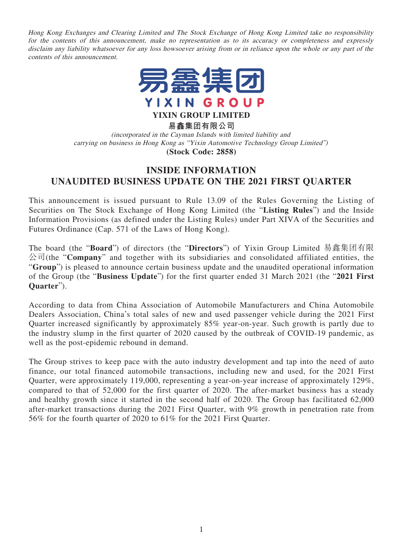Hong Kong Exchanges and Clearing Limited and The Stock Exchange of Hong Kong Limited take no responsibility for the contents of this announcement, make no representation as to its accuracy or completeness and expressly disclaim any liability whatsoever for any loss howsoever arising from or in reliance upon the whole or any part of the contents of this announcement.



**YIXIN GROUP LIMITED**

**易鑫集團有限公司**

(incorporated in the Cayman Islands with limited liability and carrying on business in Hong Kong as "Yixin Automotive Technology Group Limited") **(Stock Code: 2858)**

## **INSIDE INFORMATION UNAUDITED BUSINESS UPDATE ON THE 2021 FIRST QUARTER**

This announcement is issued pursuant to Rule 13.09 of the Rules Governing the Listing of Securities on The Stock Exchange of Hong Kong Limited (the "**Listing Rules**") and the Inside Information Provisions (as defined under the Listing Rules) under Part XIVA of the Securities and Futures Ordinance (Cap. 571 of the Laws of Hong Kong).

The board (the "**Board**") of directors (the "**Directors**") of Yixin Group Limited 易鑫集團有限 公司(the "**Company**" and together with its subsidiaries and consolidated affiliated entities, the "**Group**") is pleased to announce certain business update and the unaudited operational information of the Group (the "**Business Update**") for the first quarter ended 31 March 2021 (the "**2021 First Quarter**").

According to data from China Association of Automobile Manufacturers and China Automobile Dealers Association, China's total sales of new and used passenger vehicle during the 2021 First Quarter increased significantly by approximately 85% year-on-year. Such growth is partly due to the industry slump in the first quarter of 2020 caused by the outbreak of COVID-19 pandemic, as well as the post-epidemic rebound in demand.

The Group strives to keep pace with the auto industry development and tap into the need of auto finance, our total financed automobile transactions, including new and used, for the 2021 First Quarter, were approximately 119,000, representing a year-on-year increase of approximately 129%, compared to that of 52,000 for the first quarter of 2020. The after-market business has a steady and healthy growth since it started in the second half of 2020. The Group has facilitated 62,000 after-market transactions during the 2021 First Quarter, with 9% growth in penetration rate from 56% for the fourth quarter of 2020 to 61% for the 2021 First Quarter.